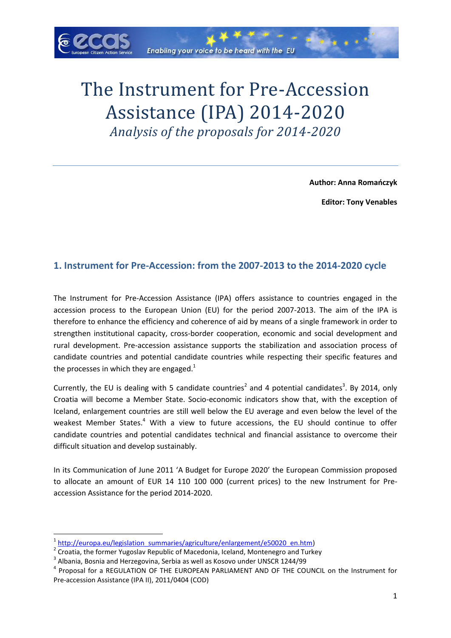

# The Instrument for Pre-Accession Assistance (IPA) 2014-2020 *Analysis of the proposals for 2014-2020*

**Author: Anna Romańczyk**

**Editor: Tony Venables**

## **1. Instrument for Pre-Accession: from the 2007-2013 to the 2014-2020 cycle**

The Instrument for Pre-Accession Assistance (IPA) offers assistance to countries engaged in the accession process to the European Union (EU) for the period 2007-2013. The aim of the IPA is therefore to enhance the efficiency and coherence of aid by means of a single framework in order to strengthen institutional capacity, cross-border cooperation, economic and social development and rural development. Pre-accession assistance supports the stabilization and association process of candidate countries and potential candidate countries while respecting their specific features and the processes in which they are engaged. $1$ 

Currently, the EU is dealing with 5 candidate countries<sup>2</sup> and 4 potential candidates<sup>3</sup>. By 2014, only Croatia will become a Member State. Socio-economic indicators show that, with the exception of Iceland, enlargement countries are still well below the EU average and even below the level of the weakest Member States.<sup>4</sup> With a view to future accessions, the EU should continue to offer candidate countries and potential candidates technical and financial assistance to overcome their difficult situation and develop sustainably.

In its Communication of June 2011 'A Budget for Europe 2020' the European Commission proposed to allocate an amount of EUR 14 110 100 000 (current prices) to the new Instrument for Preaccession Assistance for the period 2014-2020.

**.** 

<sup>1</sup> [http://europa.eu/legislation\\_summaries/agriculture/enlargement/e50020\\_en.htm\)](http://europa.eu/legislation_summaries/agriculture/enlargement/e50020_en.htm)

 $2$  Croatia, the former Yugoslav Republic of Macedonia, Iceland, Montenegro and Turkey

 $^3$  Albania, Bosnia and Herzegovina, Serbia as well as Kosovo under UNSCR 1244/99

<sup>&</sup>lt;sup>4</sup> Proposal for a REGULATION OF THE EUROPEAN PARLIAMENT AND OF THE COUNCIL on the Instrument for Pre-accession Assistance (IPA II), 2011/0404 (COD)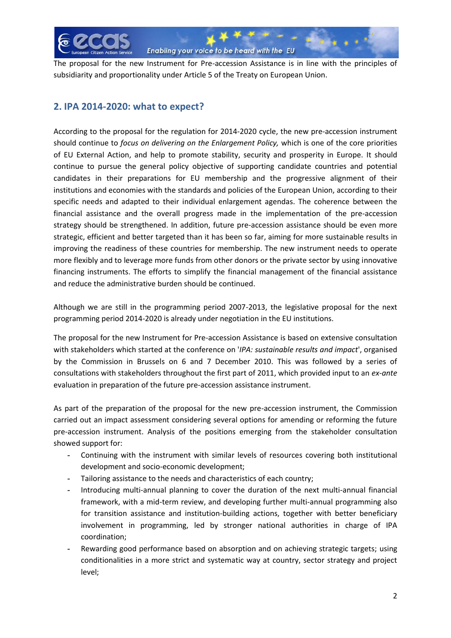

The proposal for the new Instrument for Pre-accession Assistance is in line with the principles of subsidiarity and proportionality under Article 5 of the Treaty on European Union.

# **2. IPA 2014-2020: what to expect?**

According to the proposal for the regulation for 2014-2020 cycle, the new pre-accession instrument should continue to *focus on delivering on the Enlargement Policy,* which is one of the core priorities of EU External Action, and help to promote stability, security and prosperity in Europe. It should continue to pursue the general policy objective of supporting candidate countries and potential candidates in their preparations for EU membership and the progressive alignment of their institutions and economies with the standards and policies of the European Union, according to their specific needs and adapted to their individual enlargement agendas. The coherence between the financial assistance and the overall progress made in the implementation of the pre-accession strategy should be strengthened. In addition, future pre-accession assistance should be even more strategic, efficient and better targeted than it has been so far, aiming for more sustainable results in improving the readiness of these countries for membership. The new instrument needs to operate more flexibly and to leverage more funds from other donors or the private sector by using innovative financing instruments. The efforts to simplify the financial management of the financial assistance and reduce the administrative burden should be continued.

Although we are still in the programming period 2007-2013, the legislative proposal for the next programming period 2014-2020 is already under negotiation in the EU institutions.

The proposal for the new Instrument for Pre-accession Assistance is based on extensive consultation with stakeholders which started at the conference on '*IPA: sustainable results and impact*', organised by the Commission in Brussels on 6 and 7 December 2010. This was followed by a series of consultations with stakeholders throughout the first part of 2011, which provided input to an *ex-ante*  evaluation in preparation of the future pre-accession assistance instrument.

As part of the preparation of the proposal for the new pre-accession instrument, the Commission carried out an impact assessment considering several options for amending or reforming the future pre-accession instrument. Analysis of the positions emerging from the stakeholder consultation showed support for:

- **-** Continuing with the instrument with similar levels of resources covering both institutional development and socio-economic development;
- **-** Tailoring assistance to the needs and characteristics of each country;
- **-** Introducing multi-annual planning to cover the duration of the next multi-annual financial framework, with a mid-term review, and developing further multi-annual programming also for transition assistance and institution-building actions, together with better beneficiary involvement in programming, led by stronger national authorities in charge of IPA coordination;
- **-** Rewarding good performance based on absorption and on achieving strategic targets; using conditionalities in a more strict and systematic way at country, sector strategy and project level;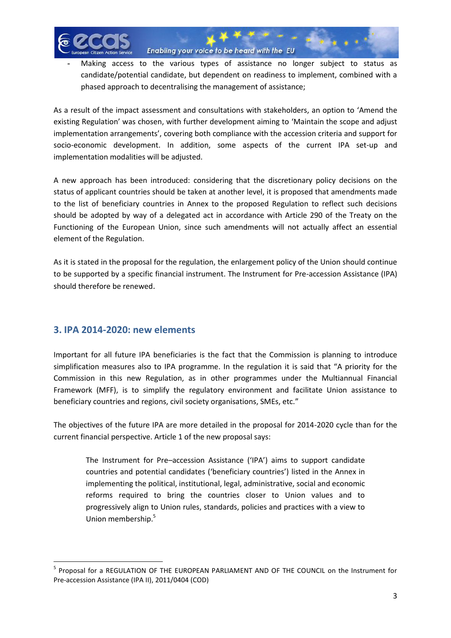

**-** Making access to the various types of assistance no longer subject to status as candidate/potential candidate, but dependent on readiness to implement, combined with a phased approach to decentralising the management of assistance;

As a result of the impact assessment and consultations with stakeholders, an option to 'Amend the existing Regulation' was chosen, with further development aiming to 'Maintain the scope and adjust implementation arrangements', covering both compliance with the accession criteria and support for socio-economic development. In addition, some aspects of the current IPA set-up and implementation modalities will be adjusted.

A new approach has been introduced: considering that the discretionary policy decisions on the status of applicant countries should be taken at another level, it is proposed that amendments made to the list of beneficiary countries in Annex to the proposed Regulation to reflect such decisions should be adopted by way of a delegated act in accordance with Article 290 of the Treaty on the Functioning of the European Union, since such amendments will not actually affect an essential element of the Regulation.

As it is stated in the proposal for the regulation, the enlargement policy of the Union should continue to be supported by a specific financial instrument. The Instrument for Pre-accession Assistance (IPA) should therefore be renewed.

## **3. IPA 2014-2020: new elements**

1

Important for all future IPA beneficiaries is the fact that the Commission is planning to introduce simplification measures also to IPA programme. In the regulation it is said that "A priority for the Commission in this new Regulation, as in other programmes under the Multiannual Financial Framework (MFF), is to simplify the regulatory environment and facilitate Union assistance to beneficiary countries and regions, civil society organisations, SMEs, etc."

The objectives of the future IPA are more detailed in the proposal for 2014-2020 cycle than for the current financial perspective. Article 1 of the new proposal says:

The Instrument for Pre–accession Assistance ('IPA') aims to support candidate countries and potential candidates ('beneficiary countries') listed in the Annex in implementing the political, institutional, legal, administrative, social and economic reforms required to bring the countries closer to Union values and to progressively align to Union rules, standards, policies and practices with a view to Union membership.<sup>5</sup>

<sup>&</sup>lt;sup>5</sup> Proposal for a REGULATION OF THE EUROPEAN PARLIAMENT AND OF THE COUNCIL on the Instrument for Pre-accession Assistance (IPA II), 2011/0404 (COD)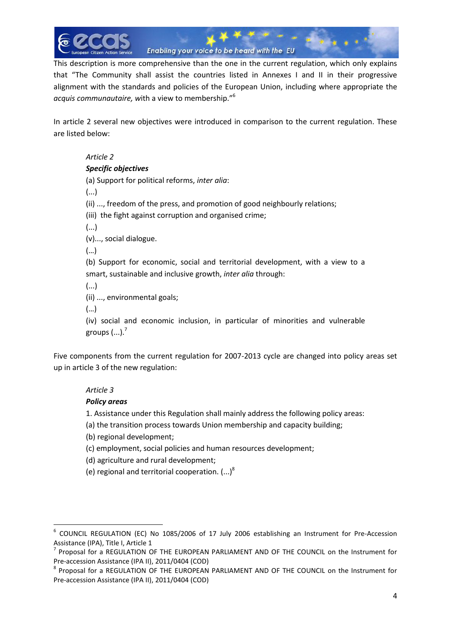

This description is more comprehensive than the one in the current regulation, which only explains that "The Community shall assist the countries listed in Annexes I and II in their progressive alignment with the standards and policies of the European Union, including where appropriate the *acquis communautaire, w*ith a view to membership."<sup>6</sup>

In article 2 several new objectives were introduced in comparison to the current regulation. These are listed below:

#### *Article 2*

#### *Specific objectives*

(a) Support for political reforms, *inter alia*:

(...)

(ii) ..., freedom of the press, and promotion of good neighbourly relations;

(iii) the fight against corruption and organised crime;

(...)

(v)..., social dialogue.

(…)

(b) Support for economic, social and territorial development, with a view to a smart, sustainable and inclusive growth, *inter alia* through:

(...)

(ii) ..., environmental goals;

(…)

(iv) social and economic inclusion, in particular of minorities and vulnerable groups  $(...).^7$ 

Five components from the current regulation for 2007-2013 cycle are changed into policy areas set up in article 3 of the new regulation:

#### *Article 3*

**.** 

#### *Policy areas*

1. Assistance under this Regulation shall mainly address the following policy areas:

(a) the transition process towards Union membership and capacity building;

(b) regional development;

(c) employment, social policies and human resources development;

(d) agriculture and rural development;

(e) regional and territorial cooperation.  $(...)^8$ 

<sup>6</sup> COUNCIL REGULATION (EC) No 1085/2006 of 17 July 2006 establishing an Instrument for Pre-Accession Assistance (IPA), Title I, Article 1

<sup>&</sup>lt;sup>7</sup> Proposal for a REGULATION OF THE EUROPEAN PARLIAMENT AND OF THE COUNCIL on the Instrument for Pre-accession Assistance (IPA II), 2011/0404 (COD)

<sup>&</sup>lt;sup>8</sup> Proposal for a REGULATION OF THE EUROPEAN PARLIAMENT AND OF THE COUNCIL on the Instrument for Pre-accession Assistance (IPA II), 2011/0404 (COD)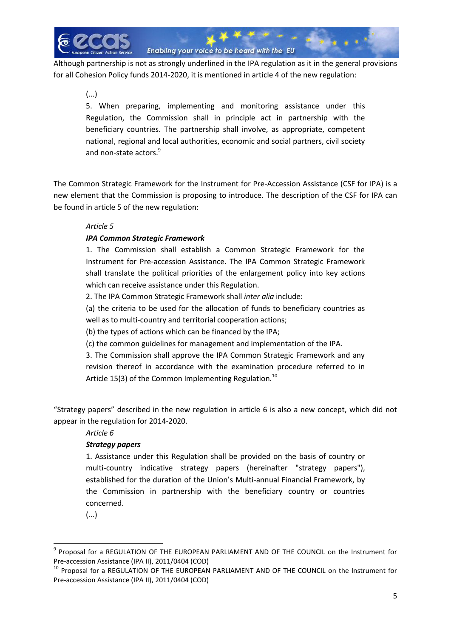

Although partnership is not as strongly underlined in the IPA regulation as it in the general provisions for all Cohesion Policy funds 2014-2020, it is mentioned in article 4 of the new regulation:

(...)

5. When preparing, implementing and monitoring assistance under this Regulation, the Commission shall in principle act in partnership with the beneficiary countries. The partnership shall involve, as appropriate, competent national, regional and local authorities, economic and social partners, civil society and non-state actors.<sup>9</sup>

The Common Strategic Framework for the Instrument for Pre-Accession Assistance (CSF for IPA) is a new element that the Commission is proposing to introduce. The description of the CSF for IPA can be found in article 5 of the new regulation:

### *Article 5*

## *IPA Common Strategic Framework*

1. The Commission shall establish a Common Strategic Framework for the Instrument for Pre-accession Assistance. The IPA Common Strategic Framework shall translate the political priorities of the enlargement policy into key actions which can receive assistance under this Regulation.

2. The IPA Common Strategic Framework shall *inter alia* include:

(a) the criteria to be used for the allocation of funds to beneficiary countries as well as to multi-country and territorial cooperation actions;

(b) the types of actions which can be financed by the IPA;

(c) the common guidelines for management and implementation of the IPA.

3. The Commission shall approve the IPA Common Strategic Framework and any revision thereof in accordance with the examination procedure referred to in Article 15(3) of the Common Implementing Regulation.<sup>10</sup>

"Strategy papers" described in the new regulation in article 6 is also a new concept, which did not appear in the regulation for 2014-2020.

#### *Article 6*

## *Strategy papers*

1. Assistance under this Regulation shall be provided on the basis of country or multi-country indicative strategy papers (hereinafter "strategy papers"), established for the duration of the Union's Multi-annual Financial Framework, by the Commission in partnership with the beneficiary country or countries concerned.

(...)

1

<sup>&</sup>lt;sup>9</sup> Proposal for a REGULATION OF THE EUROPEAN PARLIAMENT AND OF THE COUNCIL on the Instrument for Pre-accession Assistance (IPA II), 2011/0404 (COD)

<sup>&</sup>lt;sup>10</sup> Proposal for a REGULATION OF THE EUROPEAN PARLIAMENT AND OF THE COUNCIL on the Instrument for Pre-accession Assistance (IPA II), 2011/0404 (COD)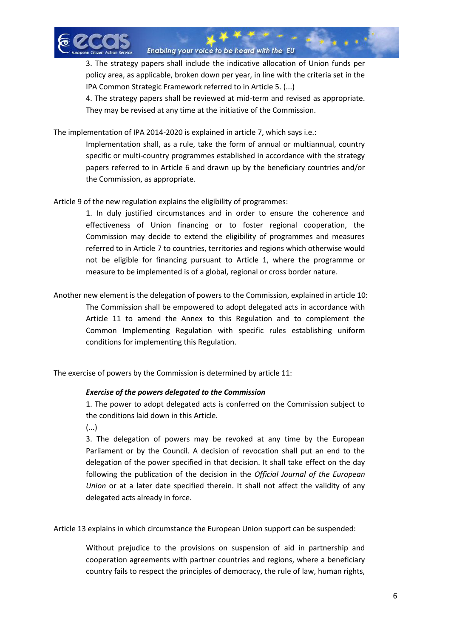

3. The strategy papers shall include the indicative allocation of Union funds per policy area, as applicable, broken down per year, in line with the criteria set in the IPA Common Strategic Framework referred to in Article 5. (...)

4. The strategy papers shall be reviewed at mid-term and revised as appropriate. They may be revised at any time at the initiative of the Commission.

The implementation of IPA 2014-2020 is explained in article 7, which says i.e.:

Implementation shall, as a rule, take the form of annual or multiannual, country specific or multi-country programmes established in accordance with the strategy papers referred to in Article 6 and drawn up by the beneficiary countries and/or the Commission, as appropriate.

Article 9 of the new regulation explains the eligibility of programmes:

1. In duly justified circumstances and in order to ensure the coherence and effectiveness of Union financing or to foster regional cooperation, the Commission may decide to extend the eligibility of programmes and measures referred to in Article 7 to countries, territories and regions which otherwise would not be eligible for financing pursuant to Article 1, where the programme or measure to be implemented is of a global, regional or cross border nature.

Another new element is the delegation of powers to the Commission, explained in article 10: The Commission shall be empowered to adopt delegated acts in accordance with Article 11 to amend the Annex to this Regulation and to complement the Common Implementing Regulation with specific rules establishing uniform conditions for implementing this Regulation.

The exercise of powers by the Commission is determined by article 11:

#### *Exercise of the powers delegated to the Commission*

1. The power to adopt delegated acts is conferred on the Commission subject to the conditions laid down in this Article.

(...)

3. The delegation of powers may be revoked at any time by the European Parliament or by the Council. A decision of revocation shall put an end to the delegation of the power specified in that decision. It shall take effect on the day following the publication of the decision in the *Official Journal of the European Union* or at a later date specified therein. It shall not affect the validity of any delegated acts already in force.

Article 13 explains in which circumstance the European Union support can be suspended:

Without prejudice to the provisions on suspension of aid in partnership and cooperation agreements with partner countries and regions, where a beneficiary country fails to respect the principles of democracy, the rule of law, human rights,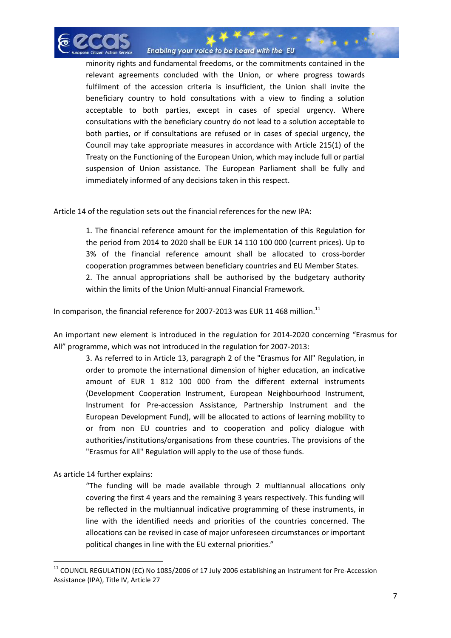

minority rights and fundamental freedoms, or the commitments contained in the relevant agreements concluded with the Union, or where progress towards fulfilment of the accession criteria is insufficient, the Union shall invite the beneficiary country to hold consultations with a view to finding a solution acceptable to both parties, except in cases of special urgency. Where consultations with the beneficiary country do not lead to a solution acceptable to both parties, or if consultations are refused or in cases of special urgency, the Council may take appropriate measures in accordance with Article 215(1) of the Treaty on the Functioning of the European Union, which may include full or partial suspension of Union assistance. The European Parliament shall be fully and immediately informed of any decisions taken in this respect.

Article 14 of the regulation sets out the financial references for the new IPA:

1. The financial reference amount for the implementation of this Regulation for the period from 2014 to 2020 shall be EUR 14 110 100 000 (current prices). Up to 3% of the financial reference amount shall be allocated to cross-border cooperation programmes between beneficiary countries and EU Member States. 2. The annual appropriations shall be authorised by the budgetary authority within the limits of the Union Multi-annual Financial Framework.

In comparison, the financial reference for 2007-2013 was EUR 11 468 million.<sup>11</sup>

An important new element is introduced in the regulation for 2014-2020 concerning "Erasmus for All" programme, which was not introduced in the regulation for 2007-2013:

3. As referred to in Article 13, paragraph 2 of the "Erasmus for All" Regulation, in order to promote the international dimension of higher education, an indicative amount of EUR 1 812 100 000 from the different external instruments (Development Cooperation Instrument, European Neighbourhood Instrument, Instrument for Pre-accession Assistance, Partnership Instrument and the European Development Fund), will be allocated to actions of learning mobility to or from non EU countries and to cooperation and policy dialogue with authorities/institutions/organisations from these countries. The provisions of the "Erasmus for All" Regulation will apply to the use of those funds.

As article 14 further explains:

1

"The funding will be made available through 2 multiannual allocations only covering the first 4 years and the remaining 3 years respectively. This funding will be reflected in the multiannual indicative programming of these instruments, in line with the identified needs and priorities of the countries concerned. The allocations can be revised in case of major unforeseen circumstances or important political changes in line with the EU external priorities."

 $11$  COUNCIL REGULATION (EC) No 1085/2006 of 17 July 2006 establishing an Instrument for Pre-Accession Assistance (IPA), Title IV, Article 27